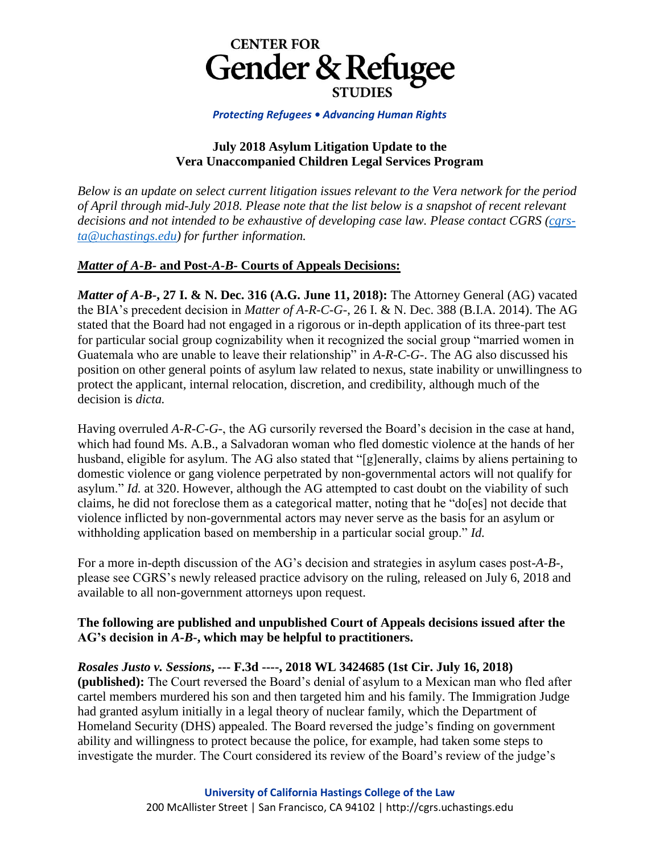

#### *Protecting Refugees • Advancing Human Rights*

### **July 2018 Asylum Litigation Update to the Vera Unaccompanied Children Legal Services Program**

*Below is an update on select current litigation issues relevant to the Vera network for the period of April through mid-July 2018. Please note that the list below is a snapshot of recent relevant decisions and not intended to be exhaustive of developing case law. Please contact CGRS [\(cgrs](mailto:cgrs-ta@uchastings.edu)[ta@uchastings.edu\)](mailto:cgrs-ta@uchastings.edu) for further information.*

# *Matter of A-B-* **and Post-***A-B-* **Courts of Appeals Decisions:**

*Matter of A-B-***, 27 I. & N. Dec. 316 (A.G. June 11, 2018):** The Attorney General (AG) vacated the BIA's precedent decision in *Matter of A-R-C-G-*, 26 I. & N. Dec. 388 (B.I.A. 2014). The AG stated that the Board had not engaged in a rigorous or in-depth application of its three-part test for particular social group cognizability when it recognized the social group "married women in Guatemala who are unable to leave their relationship" in *A-R-C-G-*. The AG also discussed his position on other general points of asylum law related to nexus, state inability or unwillingness to protect the applicant, internal relocation, discretion, and credibility, although much of the decision is *dicta.* 

Having overruled *A-R-C-G-*, the AG cursorily reversed the Board's decision in the case at hand, which had found Ms. A.B., a Salvadoran woman who fled domestic violence at the hands of her husband, eligible for asylum. The AG also stated that "[g]enerally, claims by aliens pertaining to domestic violence or gang violence perpetrated by non-governmental actors will not qualify for asylum." *Id.* at 320. However, although the AG attempted to cast doubt on the viability of such claims, he did not foreclose them as a categorical matter, noting that he "do[es] not decide that violence inflicted by non-governmental actors may never serve as the basis for an asylum or withholding application based on membership in a particular social group." *Id.* 

For a more in-depth discussion of the AG's decision and strategies in asylum cases post-*A-B-*, please see CGRS's newly released practice advisory on the ruling, released on July 6, 2018 and available to all non-government attorneys upon request.

### **The following are published and unpublished Court of Appeals decisions issued after the AG's decision in** *A-B-***, which may be helpful to practitioners.**

*Rosales Justo v. Sessions***, --- F.3d ----, 2018 WL 3424685 (1st Cir. July 16, 2018) (published):** The Court reversed the Board's denial of asylum to a Mexican man who fled after cartel members murdered his son and then targeted him and his family. The Immigration Judge had granted asylum initially in a legal theory of nuclear family, which the Department of Homeland Security (DHS) appealed. The Board reversed the judge's finding on government ability and willingness to protect because the police, for example, had taken some steps to investigate the murder. The Court considered its review of the Board's review of the judge's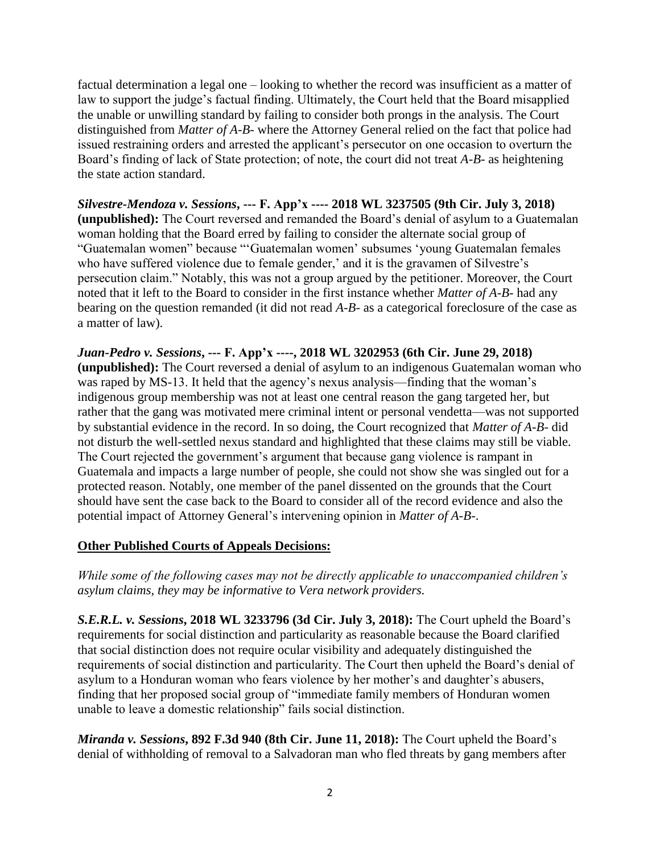factual determination a legal one – looking to whether the record was insufficient as a matter of law to support the judge's factual finding. Ultimately, the Court held that the Board misapplied the unable or unwilling standard by failing to consider both prongs in the analysis. The Court distinguished from *Matter of A-B-* where the Attorney General relied on the fact that police had issued restraining orders and arrested the applicant's persecutor on one occasion to overturn the Board's finding of lack of State protection; of note, the court did not treat *A-B-* as heightening the state action standard.

*Silvestre-Mendoza v. Sessions***, --- F. App'x ---- 2018 WL 3237505 (9th Cir. July 3, 2018) (unpublished):** The Court reversed and remanded the Board's denial of asylum to a Guatemalan woman holding that the Board erred by failing to consider the alternate social group of "Guatemalan women" because "'Guatemalan women' subsumes 'young Guatemalan females who have suffered violence due to female gender,' and it is the gravamen of Silvestre's persecution claim." Notably, this was not a group argued by the petitioner. Moreover, the Court noted that it left to the Board to consider in the first instance whether *Matter of A-B-* had any bearing on the question remanded (it did not read *A-B-* as a categorical foreclosure of the case as a matter of law).

*Juan-Pedro v. Sessions***, --- F. App'x ----, 2018 WL 3202953 (6th Cir. June 29, 2018) (unpublished):** The Court reversed a denial of asylum to an indigenous Guatemalan woman who was raped by MS-13. It held that the agency's nexus analysis—finding that the woman's indigenous group membership was not at least one central reason the gang targeted her, but rather that the gang was motivated mere criminal intent or personal vendetta—was not supported by substantial evidence in the record. In so doing, the Court recognized that *Matter of A-B-* did not disturb the well-settled nexus standard and highlighted that these claims may still be viable. The Court rejected the government's argument that because gang violence is rampant in Guatemala and impacts a large number of people, she could not show she was singled out for a protected reason. Notably, one member of the panel dissented on the grounds that the Court should have sent the case back to the Board to consider all of the record evidence and also the potential impact of Attorney General's intervening opinion in *Matter of A-B-*.

# **Other Published Courts of Appeals Decisions:**

*While some of the following cases may not be directly applicable to unaccompanied children's asylum claims, they may be informative to Vera network providers.*

*S.E.R.L. v. Sessions***, 2018 WL 3233796 (3d Cir. July 3, 2018):** The Court upheld the Board's requirements for social distinction and particularity as reasonable because the Board clarified that social distinction does not require ocular visibility and adequately distinguished the requirements of social distinction and particularity. The Court then upheld the Board's denial of asylum to a Honduran woman who fears violence by her mother's and daughter's abusers, finding that her proposed social group of "immediate family members of Honduran women unable to leave a domestic relationship" fails social distinction.

*Miranda v. Sessions***, 892 F.3d 940 (8th Cir. June 11, 2018):** The Court upheld the Board's denial of withholding of removal to a Salvadoran man who fled threats by gang members after